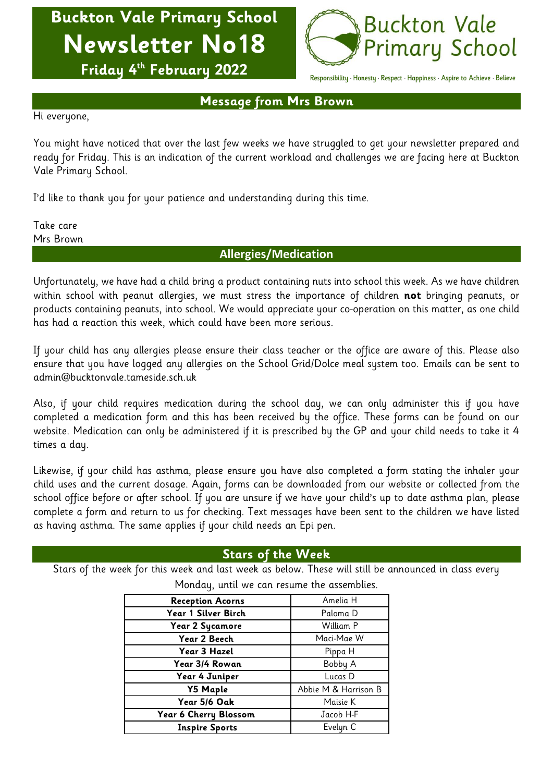# **Buckton Vale Primary School Newsletter No18**



**Friday 4 th February 2022**

Responsibility · Honesty · Respect · Happiness · Aspire to Achieve · Believe

**Message from Mrs Brown**

Hi everyone,

You might have noticed that over the last few weeks we have struggled to get your newsletter prepared and ready for Friday. This is an indication of the current workload and challenges we are facing here at Buckton Vale Primary School.

I'd like to thank you for your patience and understanding during this time.

Take care Mrs Brown

## **Allergies/Medication**

Unfortunately, we have had a child bring a product containing nuts into school this week. As we have children within school with peanut allergies, we must stress the importance of children **not** bringing peanuts, or products containing peanuts, into school. We would appreciate your co-operation on this matter, as one child has had a reaction this week, which could have been more serious.

If your child has any allergies please ensure their class teacher or the office are aware of this. Please also ensure that you have logged any allergies on the School Grid/Dolce meal system too. Emails can be sent to admin@bucktonvale.tameside.sch.uk

Also, if your child requires medication during the school day, we can only administer this if you have completed a medication form and this has been received by the office. These forms can be found on our website. Medication can only be administered if it is prescribed by the GP and your child needs to take it 4 times a day.

Likewise, if your child has asthma, please ensure you have also completed a form stating the inhaler your child uses and the current dosage. Again, forms can be downloaded from our website or collected from the school office before or after school. If you are unsure if we have your child's up to date asthma plan, please complete a form and return to us for checking. Text messages have been sent to the children we have listed as having asthma. The same applies if your child needs an Epi pen.

# **Stars of the Week**

Stars of the week for this week and last week as below. These will still be announced in class every

| <b>Reception Acorns</b> | Amelia H             |
|-------------------------|----------------------|
| Year 1 Silver Birch     | Paloma D             |
| Year 2 Sycamore         | William P            |
| Year 2 Beech            | Maci-Mae W           |
| Year 3 Hazel            | Pippa H              |
| Year 3/4 Rowan          | Bobby A              |
| Year 4 Juniper          | Lucas D              |
| <b>Y5 Maple</b>         | Abbie M & Harrison B |
| Year 5/6 Oak            | Maisie K             |
| Year 6 Cherry Blossom   | Jacob H-F            |
| <b>Inspire Sports</b>   | Evelyn C             |

Monday, until we can resume the assemblies.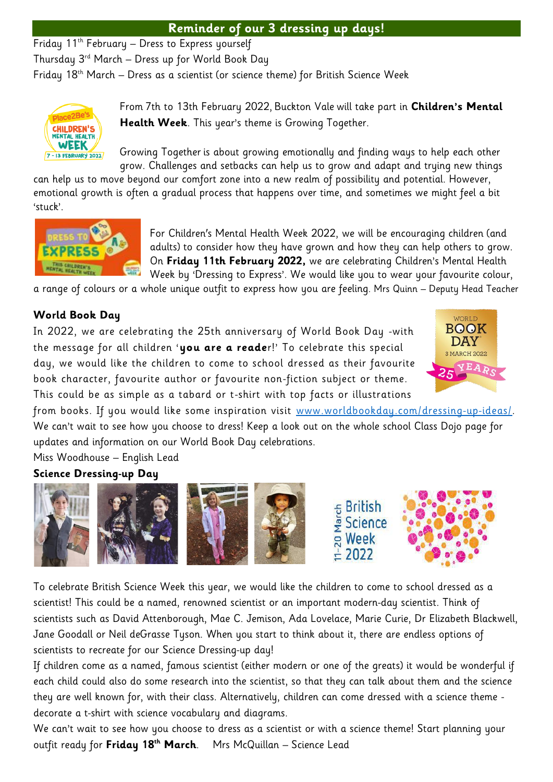# **Reminder of our 3 dressing up days!**

Friday 11th February – Dress to Express yourself

Thursday  $3^{rd}$  March – Dress up for World Book Day

Friday  $18<sup>th</sup>$  March – Dress as a scientist (or science theme) for British Science Week



From 7th to 13th February 2022, Buckton Vale will take part in **Children's Mental Health Week**. This year's theme is Growing Together.

Growing Together is about growing emotionally and finding ways to help each other grow. Challenges and setbacks can help us to grow and adapt and trying new things

can help us to move beyond our comfort zone into a new realm of possibility and potential. However, emotional growth is often a gradual process that happens over time, and sometimes we might feel a bit 'stuck'.



For Children's Mental Health Week 2022, we will be encouraging children (and adults) to consider how they have grown and how they can help others to grow. On **Friday 11th February 2022,** we are celebrating Children's Mental Health Week by 'Dressing to Express'. We would like you to wear your favourite colour,

a range of colours or a whole unique outfit to express how you are feeling. Mrs Quinn – Deputy Head Teacher

# **World Book Day**

In 2022, we are celebrating the 25th anniversary of World Book Day -with the message for all children '**you are a reade**r!' To celebrate this special day, we would like the children to come to school dressed as their favourite book character, favourite author or favourite non-fiction subject or theme. This could be as simple as a tabard or t-shirt with top facts or illustrations



from books. If you would like some inspiration visit [www.worldbookday.com/dressing-up-ideas/.](http://www.worldbookday.com/dressing-up-ideas/) We can't wait to see how you choose to dress! Keep a look out on the whole school Class Dojo page for updates and information on our World Book Day celebrations.

Miss Woodhouse – English Lead

## **Science Dressing-up Day**



To celebrate British Science Week this year, we would like the children to come to school dressed as a scientist! This could be a named, renowned scientist or an important modern-day scientist. Think of scientists such as David Attenborough, Mae C. Jemison, Ada Lovelace, Marie Curie, Dr Elizabeth Blackwell, Jane Goodall or Neil deGrasse Tyson. When you start to think about it, there are endless options of scientists to recreate for our Science Dressing-up day!

If children come as a named, famous scientist (either modern or one of the greats) it would be wonderful if each child could also do some research into the scientist, so that they can talk about them and the science they are well known for, with their class. Alternatively, children can come dressed with a science theme decorate a t-shirt with science vocabulary and diagrams.

We can't wait to see how you choose to dress as a scientist or with a science theme! Start planning your outfit ready for **Friday 18th March**. Mrs McQuillan – Science Lead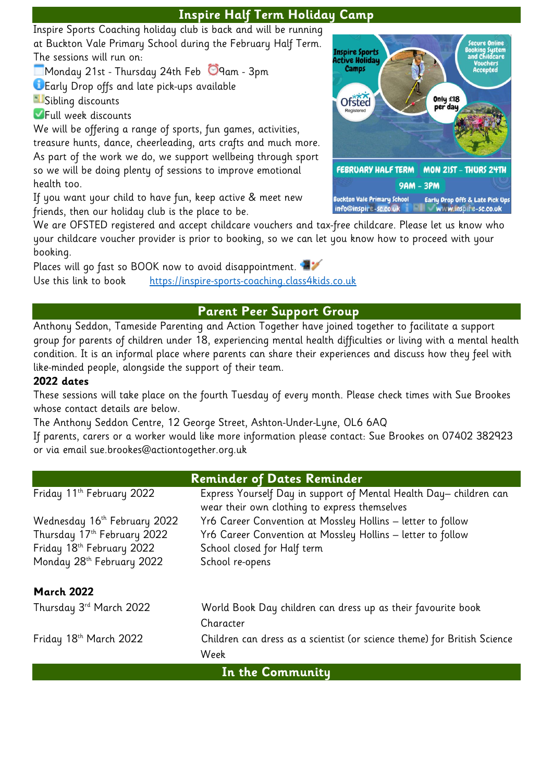# **Inspire Half Term Holiday Camp**

Inspire Sports Coaching holiday club is back and will be running at Buckton Vale Primary School during the February Half Term. The sessions will run on:

 $\Box$ Monday 21st - Thursday 24th Feb  $\Box$ 9am - 3pm

Early Drop offs and late pick-ups available

**Sibling discounts** 

**Full week discounts** 

We will be offering a range of sports, fun games, activities, treasure hunts, dance, cheerleading, arts crafts and much more. As part of the work we do, we support wellbeing through sport so we will be doing plenty of sessions to improve emotional health too.

If you want your child to have fun, keep active & meet new friends, then our holiday club is the place to be.

We are OFSTED registered and accept childcare vouchers and tax-free childcare. Please let us know who your childcare voucher provider is prior to booking, so we can let you know how to proceed with your booking.

Places will go fast so BOOK now to avoid disappointment. Use this link to book [https://inspire-sports-coaching.class4kids.co.uk](https://inspire-sports-coaching.class4kids.co.uk/)

# **Parent Peer Support Group**

Anthony Seddon, Tameside Parenting and Action Together have joined together to facilitate a support group for parents of children under 18, experiencing mental health difficulties or living with a mental health condition. It is an informal place where parents can share their experiences and discuss how they feel with like-minded people, alongside the support of their team.

## **2022 dates**

These sessions will take place on the fourth Tuesday of every month. Please check times with Sue Brookes whose contact details are below.

The Anthony Seddon Centre, 12 George Street, Ashton-Under-Lyne, OL6 6AQ

If parents, carers or a worker would like more information please contact: Sue Brookes on 07402 382923 or via email sue.brookes@actiontogether.org.uk

| <b>Reminder of Dates Reminder</b>     |                                                                          |  |
|---------------------------------------|--------------------------------------------------------------------------|--|
| Friday 11th February 2022             | Express Yourself Day in support of Mental Health Day-children can        |  |
|                                       | wear their own clothing to express themselves                            |  |
| Wednesday 16th February 2022          | Yr6 Career Convention at Mossley Hollins - letter to follow              |  |
| Thursday 17th February 2022           | Yr6 Career Convention at Mossley Hollins - letter to follow              |  |
| Friday 18 <sup>th</sup> February 2022 | School closed for Half term                                              |  |
| Monday 28 <sup>th</sup> February 2022 | School re-opens                                                          |  |
| <b>March 2022</b>                     |                                                                          |  |
| Thursday 3 <sup>rd</sup> March 2022   | World Book Day children can dress up as their favourite book             |  |
|                                       | Character                                                                |  |
| Friday 18th March 2022                | Children can dress as a scientist (or science theme) for British Science |  |
|                                       | Week                                                                     |  |
| In the Community                      |                                                                          |  |